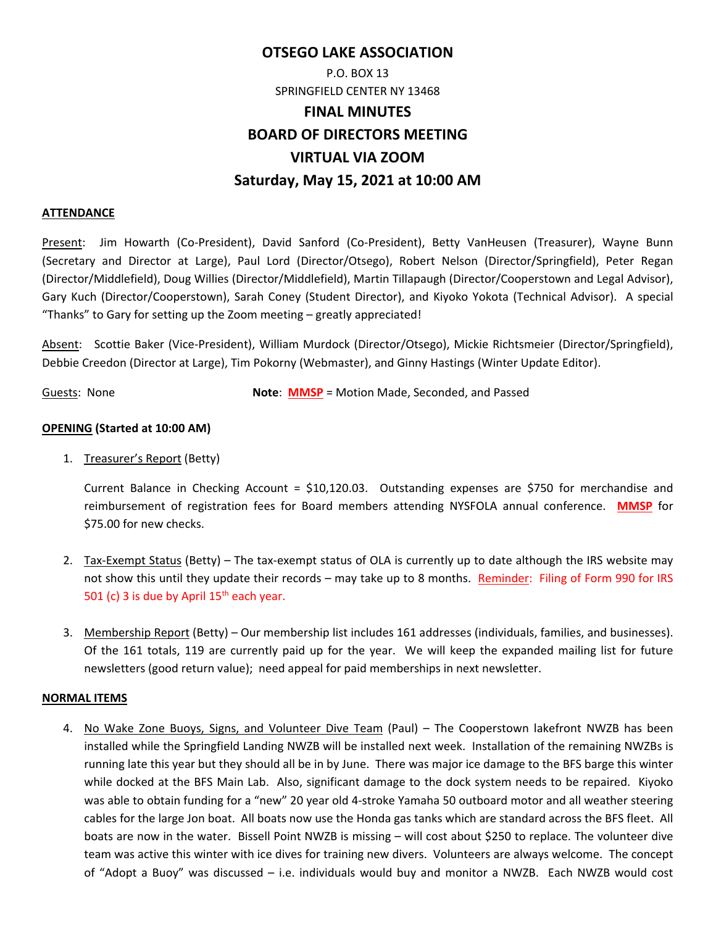## **OTSEGO LAKE ASSOCIATION**

# P.O. BOX 13 SPRINGFIELD CENTER NY 13468 **FINAL MINUTES BOARD OF DIRECTORS MEETING VIRTUAL VIA ZOOM Saturday, May 15, 2021 at 10:00 AM**

#### **ATTENDANCE**

Present: Jim Howarth (Co‐President), David Sanford (Co‐President), Betty VanHeusen (Treasurer), Wayne Bunn (Secretary and Director at Large), Paul Lord (Director/Otsego), Robert Nelson (Director/Springfield), Peter Regan (Director/Middlefield), Doug Willies (Director/Middlefield), Martin Tillapaugh (Director/Cooperstown and Legal Advisor), Gary Kuch (Director/Cooperstown), Sarah Coney (Student Director), and Kiyoko Yokota (Technical Advisor). A special "Thanks" to Gary for setting up the Zoom meeting – greatly appreciated!

Absent: Scottie Baker (Vice‐President), William Murdock (Director/Otsego), Mickie Richtsmeier (Director/Springfield), Debbie Creedon (Director at Large), Tim Pokorny (Webmaster), and Ginny Hastings (Winter Update Editor).

Guests: None **Note: MMSP** = Motion Made, Seconded, and Passed

#### **OPENING (Started at 10:00 AM)**

1. Treasurer's Report (Betty)

Current Balance in Checking Account = \$10,120.03. Outstanding expenses are \$750 for merchandise and reimbursement of registration fees for Board members attending NYSFOLA annual conference. **MMSP** for \$75.00 for new checks.

- 2. Tax‐Exempt Status (Betty) The tax‐exempt status of OLA is currently up to date although the IRS website may not show this until they update their records – may take up to 8 months. Reminder: Filing of Form 990 for IRS 501 (c) 3 is due by April  $15<sup>th</sup>$  each year.
- 3. Membership Report (Betty) Our membership list includes 161 addresses (individuals, families, and businesses). Of the 161 totals, 119 are currently paid up for the year. We will keep the expanded mailing list for future newsletters (good return value); need appeal for paid memberships in next newsletter.

#### **NORMAL ITEMS**

4. No Wake Zone Buoys, Signs, and Volunteer Dive Team (Paul) – The Cooperstown lakefront NWZB has been installed while the Springfield Landing NWZB will be installed next week. Installation of the remaining NWZBs is running late this year but they should all be in by June. There was major ice damage to the BFS barge this winter while docked at the BFS Main Lab. Also, significant damage to the dock system needs to be repaired. Kiyoko was able to obtain funding for a "new" 20 year old 4‐stroke Yamaha 50 outboard motor and all weather steering cables for the large Jon boat. All boats now use the Honda gas tanks which are standard across the BFS fleet. All boats are now in the water. Bissell Point NWZB is missing – will cost about \$250 to replace. The volunteer dive team was active this winter with ice dives for training new divers. Volunteers are always welcome. The concept of "Adopt a Buoy" was discussed – i.e. individuals would buy and monitor a NWZB. Each NWZB would cost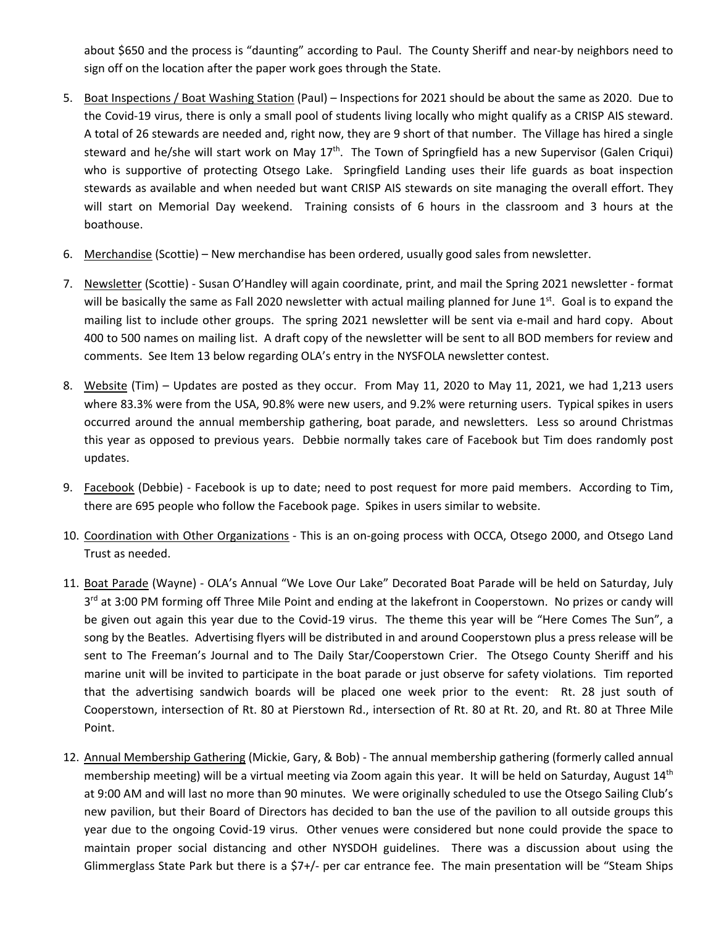about \$650 and the process is "daunting" according to Paul. The County Sheriff and near‐by neighbors need to sign off on the location after the paper work goes through the State.

- 5. Boat Inspections / Boat Washing Station (Paul) Inspections for 2021 should be about the same as 2020. Due to the Covid‐19 virus, there is only a small pool of students living locally who might qualify as a CRISP AIS steward. A total of 26 stewards are needed and, right now, they are 9 short of that number. The Village has hired a single steward and he/she will start work on May 17th. The Town of Springfield has a new Supervisor (Galen Criqui) who is supportive of protecting Otsego Lake. Springfield Landing uses their life guards as boat inspection stewards as available and when needed but want CRISP AIS stewards on site managing the overall effort. They will start on Memorial Day weekend. Training consists of 6 hours in the classroom and 3 hours at the boathouse.
- 6. Merchandise (Scottie) New merchandise has been ordered, usually good sales from newsletter.
- 7. Newsletter (Scottie) ‐ Susan O'Handley will again coordinate, print, and mail the Spring 2021 newsletter ‐ format will be basically the same as Fall 2020 newsletter with actual mailing planned for June  $1<sup>st</sup>$ . Goal is to expand the mailing list to include other groups. The spring 2021 newsletter will be sent via e-mail and hard copy. About 400 to 500 names on mailing list. A draft copy of the newsletter will be sent to all BOD members for review and comments. See Item 13 below regarding OLA's entry in the NYSFOLA newsletter contest.
- 8. Website (Tim) Updates are posted as they occur. From May 11, 2020 to May 11, 2021, we had 1,213 users where 83.3% were from the USA, 90.8% were new users, and 9.2% were returning users. Typical spikes in users occurred around the annual membership gathering, boat parade, and newsletters. Less so around Christmas this year as opposed to previous years. Debbie normally takes care of Facebook but Tim does randomly post updates.
- 9. Facebook (Debbie) Facebook is up to date; need to post request for more paid members. According to Tim, there are 695 people who follow the Facebook page. Spikes in users similar to website.
- 10. Coordination with Other Organizations This is an on-going process with OCCA, Otsego 2000, and Otsego Land Trust as needed.
- 11. Boat Parade (Wayne) ‐ OLA's Annual "We Love Our Lake" Decorated Boat Parade will be held on Saturday, July 3<sup>rd</sup> at 3:00 PM forming off Three Mile Point and ending at the lakefront in Cooperstown. No prizes or candy will be given out again this year due to the Covid-19 virus. The theme this year will be "Here Comes The Sun", a song by the Beatles. Advertising flyers will be distributed in and around Cooperstown plus a press release will be sent to The Freeman's Journal and to The Daily Star/Cooperstown Crier. The Otsego County Sheriff and his marine unit will be invited to participate in the boat parade or just observe for safety violations. Tim reported that the advertising sandwich boards will be placed one week prior to the event: Rt. 28 just south of Cooperstown, intersection of Rt. 80 at Pierstown Rd., intersection of Rt. 80 at Rt. 20, and Rt. 80 at Three Mile Point.
- 12. Annual Membership Gathering (Mickie, Gary, & Bob) The annual membership gathering (formerly called annual membership meeting) will be a virtual meeting via Zoom again this year. It will be held on Saturday, August 14<sup>th</sup> at 9:00 AM and will last no more than 90 minutes. We were originally scheduled to use the Otsego Sailing Club's new pavilion, but their Board of Directors has decided to ban the use of the pavilion to all outside groups this year due to the ongoing Covid-19 virus. Other venues were considered but none could provide the space to maintain proper social distancing and other NYSDOH guidelines. There was a discussion about using the Glimmerglass State Park but there is a \$7+/‐ per car entrance fee. The main presentation will be "Steam Ships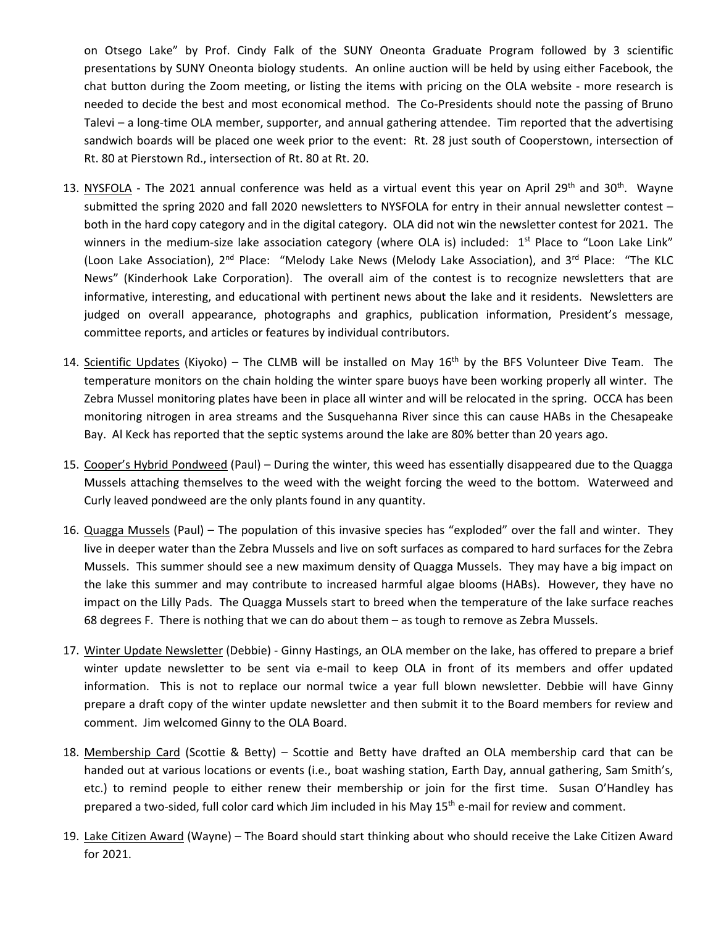on Otsego Lake" by Prof. Cindy Falk of the SUNY Oneonta Graduate Program followed by 3 scientific presentations by SUNY Oneonta biology students. An online auction will be held by using either Facebook, the chat button during the Zoom meeting, or listing the items with pricing on the OLA website - more research is needed to decide the best and most economical method. The Co-Presidents should note the passing of Bruno Talevi – a long-time OLA member, supporter, and annual gathering attendee. Tim reported that the advertising sandwich boards will be placed one week prior to the event: Rt. 28 just south of Cooperstown, intersection of Rt. 80 at Pierstown Rd., intersection of Rt. 80 at Rt. 20.

- 13. NYSFOLA The 2021 annual conference was held as a virtual event this year on April 29<sup>th</sup> and 30<sup>th</sup>. Wayne submitted the spring 2020 and fall 2020 newsletters to NYSFOLA for entry in their annual newsletter contest – both in the hard copy category and in the digital category. OLA did not win the newsletter contest for 2021. The winners in the medium-size lake association category (where OLA is) included:  $1<sup>st</sup>$  Place to "Loon Lake Link" (Loon Lake Association), 2<sup>nd</sup> Place: "Melody Lake News (Melody Lake Association), and 3<sup>rd</sup> Place: "The KLC News" (Kinderhook Lake Corporation). The overall aim of the contest is to recognize newsletters that are informative, interesting, and educational with pertinent news about the lake and it residents. Newsletters are judged on overall appearance, photographs and graphics, publication information, President's message, committee reports, and articles or features by individual contributors.
- 14. Scientific Updates (Kiyoko) The CLMB will be installed on May  $16<sup>th</sup>$  by the BFS Volunteer Dive Team. The temperature monitors on the chain holding the winter spare buoys have been working properly all winter. The Zebra Mussel monitoring plates have been in place all winter and will be relocated in the spring. OCCA has been monitoring nitrogen in area streams and the Susquehanna River since this can cause HABs in the Chesapeake Bay. Al Keck has reported that the septic systems around the lake are 80% better than 20 years ago.
- 15. Cooper's Hybrid Pondweed (Paul) During the winter, this weed has essentially disappeared due to the Quagga Mussels attaching themselves to the weed with the weight forcing the weed to the bottom. Waterweed and Curly leaved pondweed are the only plants found in any quantity.
- 16. Quagga Mussels (Paul) The population of this invasive species has "exploded" over the fall and winter. They live in deeper water than the Zebra Mussels and live on soft surfaces as compared to hard surfaces for the Zebra Mussels. This summer should see a new maximum density of Quagga Mussels. They may have a big impact on the lake this summer and may contribute to increased harmful algae blooms (HABs). However, they have no impact on the Lilly Pads. The Quagga Mussels start to breed when the temperature of the lake surface reaches 68 degrees F. There is nothing that we can do about them – as tough to remove as Zebra Mussels.
- 17. Winter Update Newsletter (Debbie) ‐ Ginny Hastings, an OLA member on the lake, has offered to prepare a brief winter update newsletter to be sent via e-mail to keep OLA in front of its members and offer updated information. This is not to replace our normal twice a year full blown newsletter. Debbie will have Ginny prepare a draft copy of the winter update newsletter and then submit it to the Board members for review and comment. Jim welcomed Ginny to the OLA Board.
- 18. Membership Card (Scottie & Betty) Scottie and Betty have drafted an OLA membership card that can be handed out at various locations or events (i.e., boat washing station, Earth Day, annual gathering, Sam Smith's, etc.) to remind people to either renew their membership or join for the first time. Susan O'Handley has prepared a two-sided, full color card which Jim included in his May 15<sup>th</sup> e-mail for review and comment.
- 19. Lake Citizen Award (Wayne) The Board should start thinking about who should receive the Lake Citizen Award for 2021.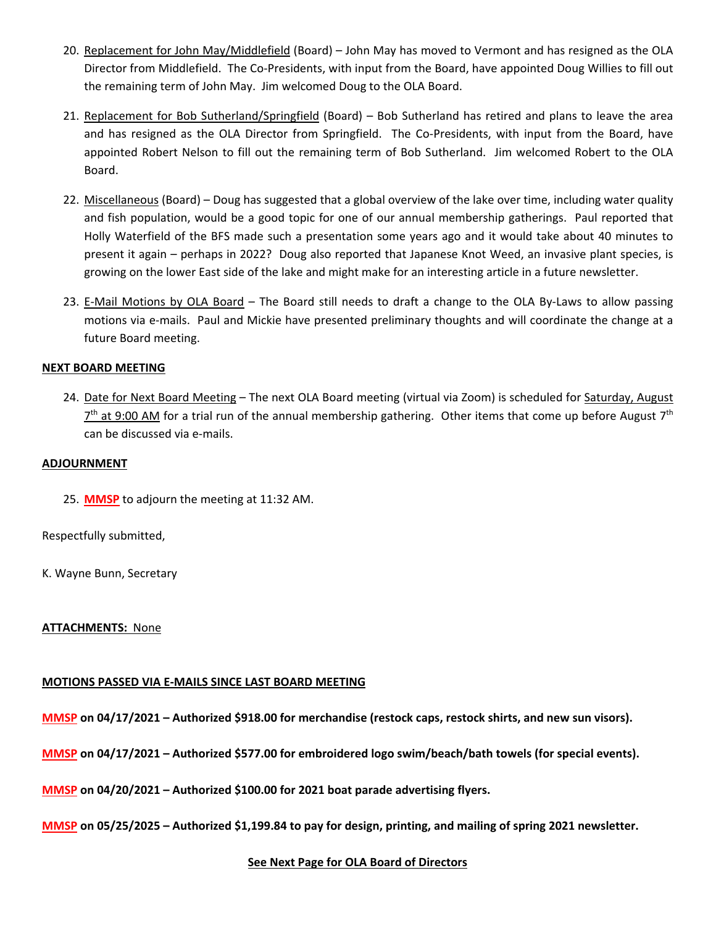- 20. Replacement for John May/Middlefield (Board) John May has moved to Vermont and has resigned as the OLA Director from Middlefield. The Co‐Presidents, with input from the Board, have appointed Doug Willies to fill out the remaining term of John May. Jim welcomed Doug to the OLA Board.
- 21. Replacement for Bob Sutherland/Springfield (Board) Bob Sutherland has retired and plans to leave the area and has resigned as the OLA Director from Springfield. The Co-Presidents, with input from the Board, have appointed Robert Nelson to fill out the remaining term of Bob Sutherland. Jim welcomed Robert to the OLA Board.
- 22. Miscellaneous (Board) Doug has suggested that a global overview of the lake over time, including water quality and fish population, would be a good topic for one of our annual membership gatherings. Paul reported that Holly Waterfield of the BFS made such a presentation some years ago and it would take about 40 minutes to present it again – perhaps in 2022? Doug also reported that Japanese Knot Weed, an invasive plant species, is growing on the lower East side of the lake and might make for an interesting article in a future newsletter.
- 23. E-Mail Motions by OLA Board The Board still needs to draft a change to the OLA By-Laws to allow passing motions via e‐mails. Paul and Mickie have presented preliminary thoughts and will coordinate the change at a future Board meeting.

#### **NEXT BOARD MEETING**

24. Date for Next Board Meeting - The next OLA Board meeting (virtual via Zoom) is scheduled for Saturday, August  $7<sup>th</sup>$  at 9:00 AM for a trial run of the annual membership gathering. Other items that come up before August  $7<sup>th</sup>$ can be discussed via e‐mails.

#### **ADJOURNMENT**

25. **MMSP** to adjourn the meeting at 11:32 AM.

Respectfully submitted,

K. Wayne Bunn, Secretary

#### **ATTACHMENTS:** None

#### **MOTIONS PASSED VIA E‐MAILS SINCE LAST BOARD MEETING**

**MMSP on 04/17/2021 – Authorized \$918.00 for merchandise (restock caps, restock shirts, and new sun visors).** 

**MMSP on 04/17/2021 – Authorized \$577.00 for embroidered logo swim/beach/bath towels (for special events).** 

**MMSP on 04/20/2021 – Authorized \$100.00 for 2021 boat parade advertising flyers.** 

**MMSP on 05/25/2025 – Authorized \$1,199.84 to pay for design, printing, and mailing of spring 2021 newsletter.** 

#### **See Next Page for OLA Board of Directors**